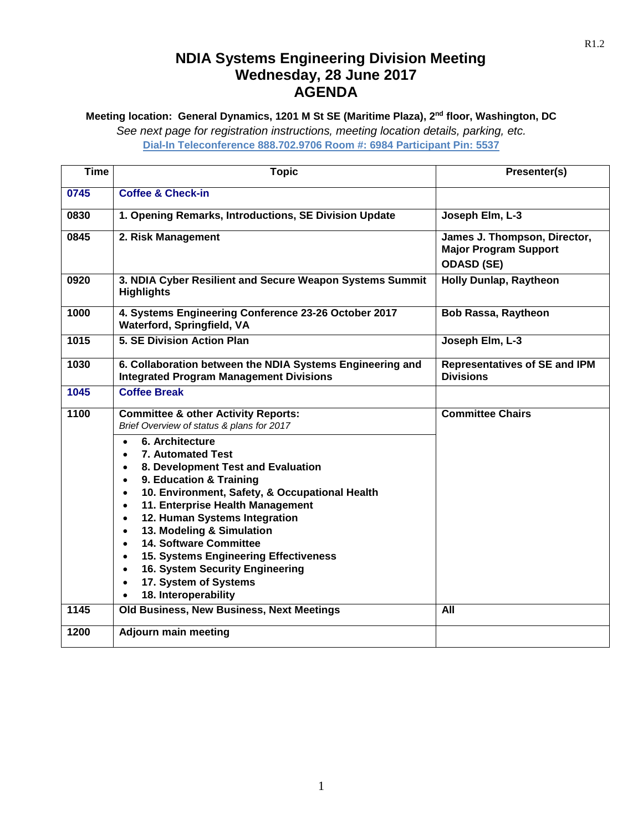## **NDIA Systems Engineering Division Meeting Wednesday, 28 June 2017 AGENDA**

**Meeting location: General Dynamics, 1201 M St SE (Maritime Plaza), 2nd floor, Washington, DC**

*See next page for registration instructions, meeting location details, parking, etc.*

**Dial-In Teleconference 888.702.9706 Room #: 6984 Participant Pin: 5537**

| <b>Time</b> | <b>Topic</b>                                                                                                                                                                                                                                                                                                                                                                                                                                                                                                                                                                                                                                                                                    | Presenter(s)                                                                      |
|-------------|-------------------------------------------------------------------------------------------------------------------------------------------------------------------------------------------------------------------------------------------------------------------------------------------------------------------------------------------------------------------------------------------------------------------------------------------------------------------------------------------------------------------------------------------------------------------------------------------------------------------------------------------------------------------------------------------------|-----------------------------------------------------------------------------------|
| 0745        | <b>Coffee &amp; Check-in</b>                                                                                                                                                                                                                                                                                                                                                                                                                                                                                                                                                                                                                                                                    |                                                                                   |
| 0830        | 1. Opening Remarks, Introductions, SE Division Update                                                                                                                                                                                                                                                                                                                                                                                                                                                                                                                                                                                                                                           | Joseph Elm, L-3                                                                   |
| 0845        | 2. Risk Management                                                                                                                                                                                                                                                                                                                                                                                                                                                                                                                                                                                                                                                                              | James J. Thompson, Director,<br><b>Major Program Support</b><br><b>ODASD (SE)</b> |
| 0920        | 3. NDIA Cyber Resilient and Secure Weapon Systems Summit<br><b>Highlights</b>                                                                                                                                                                                                                                                                                                                                                                                                                                                                                                                                                                                                                   | <b>Holly Dunlap, Raytheon</b>                                                     |
| 1000        | 4. Systems Engineering Conference 23-26 October 2017<br><b>Waterford, Springfield, VA</b>                                                                                                                                                                                                                                                                                                                                                                                                                                                                                                                                                                                                       | <b>Bob Rassa, Raytheon</b>                                                        |
| 1015        | 5. SE Division Action Plan                                                                                                                                                                                                                                                                                                                                                                                                                                                                                                                                                                                                                                                                      | Joseph Elm, L-3                                                                   |
| 1030        | 6. Collaboration between the NDIA Systems Engineering and<br><b>Integrated Program Management Divisions</b>                                                                                                                                                                                                                                                                                                                                                                                                                                                                                                                                                                                     | <b>Representatives of SE and IPM</b><br><b>Divisions</b>                          |
| 1045        | <b>Coffee Break</b>                                                                                                                                                                                                                                                                                                                                                                                                                                                                                                                                                                                                                                                                             |                                                                                   |
| 1100        | <b>Committee &amp; other Activity Reports:</b><br>Brief Overview of status & plans for 2017<br>6. Architecture<br>$\bullet$<br>7. Automated Test<br>$\bullet$<br>8. Development Test and Evaluation<br>$\bullet$<br>9. Education & Training<br>$\bullet$<br>10. Environment, Safety, & Occupational Health<br>$\bullet$<br>11. Enterprise Health Management<br>$\bullet$<br>12. Human Systems Integration<br>$\bullet$<br>13. Modeling & Simulation<br>$\bullet$<br>14. Software Committee<br>$\bullet$<br><b>15. Systems Engineering Effectiveness</b><br>$\bullet$<br>16. System Security Engineering<br>$\bullet$<br>17. System of Systems<br>$\bullet$<br>18. Interoperability<br>$\bullet$ | <b>Committee Chairs</b>                                                           |
| 1145        | Old Business, New Business, Next Meetings                                                                                                                                                                                                                                                                                                                                                                                                                                                                                                                                                                                                                                                       | All                                                                               |
| 1200        | <b>Adjourn main meeting</b>                                                                                                                                                                                                                                                                                                                                                                                                                                                                                                                                                                                                                                                                     |                                                                                   |